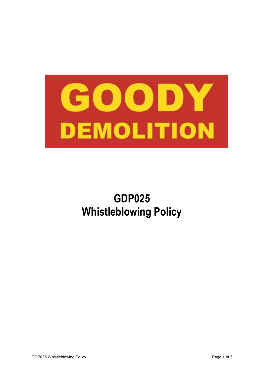

# **GDP025 Whistleblowing Policy**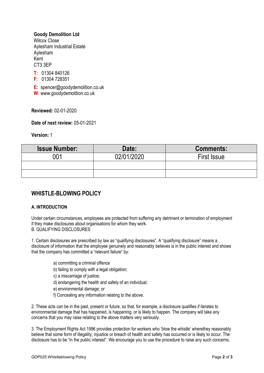### **Goody Demolition Ltd**

Wilcox Close Aylesham Industrial Estate Aylesham Kent CT3 3EP

**T:** 01304 840126

**F:** 01304 728351

**E:** spencer@goodydemolition.co.uk

**W:** www.goodydemolition.co.uk

**Reviewed:** 02-01-2020

**Date of next review:** 05-01-2021

**Version:** 1

| <b>Issue Number:</b> | Date:      | <b>Comments:</b>   |
|----------------------|------------|--------------------|
| 001                  | 02/01/2020 | <b>First Issue</b> |
|                      |            |                    |
|                      |            |                    |

## **WHISTLE-BLOWING POLICY**

#### **A. INTRODUCTION**

Under certain circumstances, employees are protected from suffering any detriment or termination of employment if they make disclosures about organisations for whom they work. B. QUALIFYING DISCLOSURES

1. Certain disclosures are prescribed by law as "qualifying disclosures". A "qualifying disclosure" means a disclosure of information that the employee genuinely and reasonably believes is in the public interest and shows that the company has committed a "relevant failure" by:

- a) committing a criminal offence
- b) failing to comply with a legal obligation;

c) a miscarriage of justice;

- d) endangering the health and safety of an individual;
- e) environmental damage; or
- f) Concealing any information relating to the above.

2. These acts can be in the past, present or future, so that, for example, a disclosure qualifies if iterates to environmental damage that has happened, is happening, or is likely to happen. The company will take any concerns that you may raise relating to the above matters very seriously.

3. The Employment Rights Act 1996 provides protection for workers who 'blow the whistle' wherethey reasonably believe that some form of illegality, injustice or breach of health and safety has occurred or is likely to occur. The disclosure has to be "in the public interest". We encourage you to use the procedure to raise any such concerns.